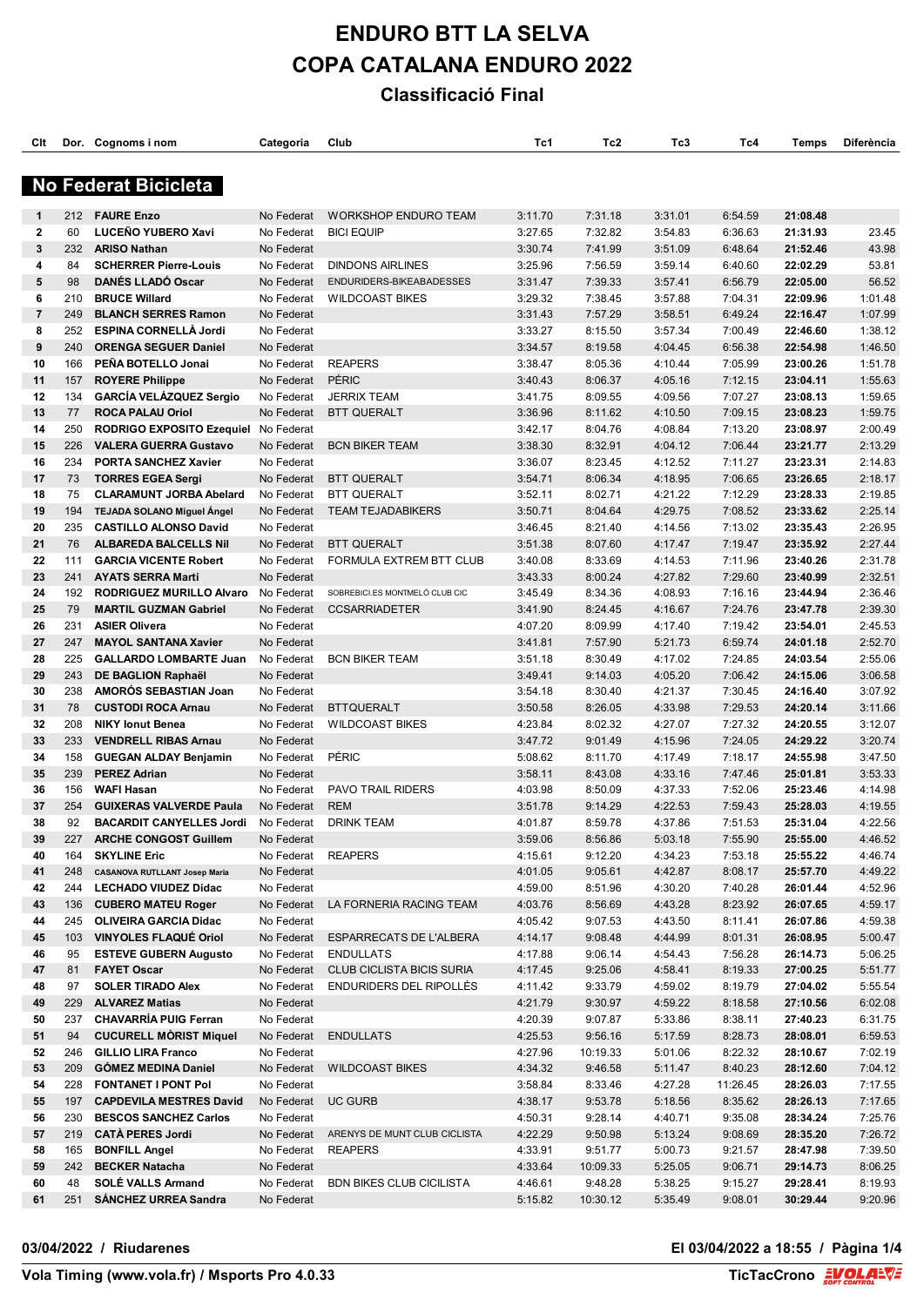| Clt            |            | Dor. Cognoms i nom                                           | Categoria                | Club                            | Tc1                | Tc2                | Tc3                | Tc4                | Temps                | <b>Diferència</b>  |
|----------------|------------|--------------------------------------------------------------|--------------------------|---------------------------------|--------------------|--------------------|--------------------|--------------------|----------------------|--------------------|
|                |            | <b>No Federat Bicicleta</b>                                  |                          |                                 |                    |                    |                    |                    |                      |                    |
| 1              | 212        | <b>FAURE Enzo</b>                                            | No Federat               | <b>WORKSHOP ENDURO TEAM</b>     | 3:11.70            | 7:31.18            | 3:31.01            |                    | 21:08.48             |                    |
| $\mathbf{2}$   | 60         | LUCEÑO YUBERO Xavi                                           | No Federat               | <b>BICI EQUIP</b>               | 3:27.65            | 7:32.82            | 3:54.83            | 6:54.59<br>6:36.63 | 21:31.93             | 23.45              |
| 3              | 232        | <b>ARISO Nathan</b>                                          | No Federat               |                                 | 3:30.74            | 7:41.99            | 3:51.09            | 6:48.64            | 21:52.46             | 43.98              |
| 4              | 84         | <b>SCHERRER Pierre-Louis</b>                                 | No Federat               | <b>DINDONS AIRLINES</b>         | 3:25.96            | 7:56.59            | 3:59.14            | 6:40.60            | 22:02.29             | 53.81              |
| 5              | 98         | <b>DANÉS LLADÓ Oscar</b>                                     | No Federat               | ENDURIDERS-BIKEABADESSES        | 3:31.47            | 7:39.33            | 3:57.41            | 6:56.79            | 22:05.00             | 56.52              |
| 6              | 210        | <b>BRUCE Willard</b>                                         | No Federat               | <b>WILDCOAST BIKES</b>          | 3:29.32            | 7:38.45            | 3:57.88            | 7:04.31            | 22:09.96             | 1:01.48            |
| $\overline{7}$ | 249        | <b>BLANCH SERRES Ramon</b>                                   | No Federat               |                                 | 3:31.43            | 7:57.29            | 3:58.51            | 6:49.24            | 22:16.47             | 1:07.99            |
| 8              | 252        | <b>ESPINA CORNELLA Jordi</b>                                 | No Federat               |                                 | 3:33.27            | 8:15.50            | 3:57.34            | 7:00.49            | 22:46.60             | 1:38.12            |
| 9              | 240        | <b>ORENGA SEGUER Daniel</b>                                  | No Federat               |                                 | 3:34.57            | 8:19.58            | 4:04.45            | 6:56.38            | 22:54.98             | 1:46.50            |
| 10             | 166        | PEÑA BOTELLO Jonai                                           | No Federat               | <b>REAPERS</b>                  | 3:38.47            | 8:05.36            | 4:10.44            | 7:05.99            | 23:00.26             | 1:51.78            |
| 11             | 157        | <b>ROYERE Philippe</b>                                       | No Federat               | <b>PÉRIC</b>                    | 3:40.43            | 8:06.37            | 4:05.16            | 7:12.15            | 23:04.11             | 1:55.63            |
| 12             | 134        | <b>GARCÍA VELÁZQUEZ Sergio</b>                               | No Federat               | <b>JERRIX TEAM</b>              | 3:41.75            | 8:09.55            | 4:09.56            | 7:07.27            | 23:08.13             | 1:59.65            |
| 13             | 77         | <b>ROCA PALAU Oriol</b>                                      | No Federat               | <b>BTT QUERALT</b>              | 3:36.96            | 8:11.62            | 4:10.50            | 7:09.15            | 23:08.23             | 1:59.75            |
| 14             | 250        | <b>RODRIGO EXPOSITO Ezequiel</b>                             | No Federat               |                                 | 3:42.17            | 8:04.76            | 4:08.84            | 7:13.20            | 23:08.97             | 2:00.49            |
| 15             | 226        | <b>VALERA GUERRA Gustavo</b>                                 | No Federat               | <b>BCN BIKER TEAM</b>           | 3:38.30            | 8:32.91            | 4:04.12            | 7:06.44            | 23:21.77             | 2:13.29            |
| 16             | 234        | <b>PORTA SANCHEZ Xavier</b>                                  | No Federat               |                                 | 3:36.07            | 8:23.45            | 4:12.52            | 7:11.27            | 23:23.31             | 2:14.83            |
| 17             | 73         | <b>TORRES EGEA Sergi</b>                                     | No Federat               | <b>BTT QUERALT</b>              | 3:54.71            | 8:06.34            | 4:18.95            | 7:06.65            | 23:26.65             | 2:18.17            |
| 18             | 75         | <b>CLARAMUNT JORBA Abelard</b>                               | No Federat               | <b>BTT QUERALT</b>              | 3:52.11            | 8:02.71            | 4:21.22            | 7:12.29            | 23:28.33             | 2:19.85            |
| 19             | 194        | <b>TEJADA SOLANO Miguel Angel</b>                            | No Federat               | <b>TEAM TEJADABIKERS</b>        | 3:50.71            | 8:04.64            | 4:29.75            | 7:08.52            | 23:33.62             | 2:25.14            |
| 20             | 235        | <b>CASTILLO ALONSO David</b>                                 | No Federat               |                                 | 3:46.45            | 8:21.40            | 4:14.56            | 7:13.02            | 23:35.43             | 2:26.95            |
| 21             | 76         | <b>ALBAREDA BALCELLS Nil</b>                                 | No Federat               | <b>BTT QUERALT</b>              | 3:51.38            | 8:07.60            | 4:17.47            | 7:19.47            | 23:35.92             | 2:27.44            |
| 22             | 111        | <b>GARCIA VICENTE Robert</b>                                 | No Federat               | FORMULA EXTREM BTT CLUB         | 3:40.08            | 8:33.69            | 4:14.53            | 7:11.96            | 23:40.26             | 2:31.78            |
| 23             | 241        | <b>AYATS SERRA Martí</b>                                     | No Federat               |                                 | 3:43.33            | 8:00.24            | 4:27.82            | 7:29.60            | 23:40.99             | 2:32.51            |
| 24             | 192        | <b>RODRIGUEZ MURILLO Alvaro</b>                              | No Federat               | SOBREBICI.ES MONTMELÓ CLUB CIC  | 3:45.49            | 8:34.36            | 4:08.93            | 7:16.16            | 23:44.94             | 2:36.46            |
| 25             | 79         | <b>MARTIL GUZMAN Gabriel</b>                                 | No Federat               | <b>CCSARRIADETER</b>            | 3:41.90            | 8:24.45            | 4:16.67            | 7:24.76            | 23:47.78             | 2:39.30            |
| 26             | 231        | <b>ASIER Olivera</b>                                         | No Federat               |                                 | 4:07.20            | 8:09.99            | 4:17.40            | 7:19.42            | 23:54.01             | 2:45.53            |
| 27             | 247        | <b>MAYOL SANTANA Xavier</b>                                  | No Federat               |                                 | 3:41.81            | 7:57.90            | 5:21.73            | 6:59.74            | 24:01.18             | 2:52.70            |
| 28             | 225        | <b>GALLARDO LOMBARTE Juan</b>                                | No Federat               | <b>BCN BIKER TEAM</b>           | 3:51.18            | 8:30.49            | 4:17.02            | 7:24.85            | 24:03.54             | 2:55.06            |
| 29             | 243        | DE BAGLION Raphaël                                           | No Federat               |                                 | 3:49.41            | 9:14.03            | 4:05.20            | 7:06.42            | 24:15.06             | 3:06.58            |
| 30             | 238        | <b>AMOROS SEBASTIAN Joan</b>                                 | No Federat               |                                 | 3:54.18            | 8:30.40            | 4:21.37            | 7:30.45            | 24:16.40             | 3:07.92            |
| 31             | 78         | <b>CUSTODI ROCA Arnau</b>                                    | No Federat               | <b>BTTQUERALT</b>               | 3:50.58            | 8:26.05            | 4:33.98            | 7:29.53            | 24:20.14             | 3:11.66            |
| 32             | 208        | <b>NIKY lonut Benea</b>                                      | No Federat               | <b>WILDCOAST BIKES</b>          | 4:23.84            | 8:02.32            | 4:27.07            | 7:27.32            | 24:20.55             | 3:12.07            |
| 33             | 233        | <b>VENDRELL RIBAS Arnau</b>                                  | No Federat               |                                 | 3:47.72            | 9:01.49            | 4:15.96            | 7:24.05            | 24:29.22             | 3:20.74            |
| 34             | 158        | <b>GUEGAN ALDAY Benjamin</b>                                 | No Federat               | PÉRIC                           | 5:08.62            | 8:11.70            | 4:17.49            | 7:18.17            | 24:55.98             | 3:47.50            |
| 35             | 239        | <b>PEREZ Adrian</b>                                          | No Federat               |                                 | 3:58.11            | 8:43.08            | 4:33.16            | 7:47.46            | 25:01.81             | 3:53.33            |
| 36             | 156        | <b>WAFI Hasan</b>                                            | No Federat               | <b>PAVO TRAIL RIDERS</b>        | 4:03.98            | 8:50.09            | 4:37.33            | 7:52.06            | 25:23.46             | 4:14.98            |
| 37             | 254        | <b>GUIXERAS VALVERDE Paula</b>                               | No Federat               | <b>REM</b>                      | 3:51.78            | 9:14.29            | 4:22.53            | 7:59.43            | 25:28.03             | 4:19.55            |
| 38             | 92         | <b>BACARDIT CANYELLES Jordi</b>                              | No Federat               | <b>DRINK TEAM</b>               | 4:01.87            | 8:59.78            | 4:37.86            | 7:51.53            | 25:31.04             | 4:22.56            |
| 39             | 227        | <b>ARCHE CONGOST Guillem</b>                                 | No Federat               |                                 | 3:59.06            | 8:56.86            | 5:03.18            | 7:55.90            | 25:55.00             | 4:46.52            |
| 40             | 164        | <b>SKYLINE Eric</b>                                          | No Federat               | <b>REAPERS</b>                  | 4:15.61            | 9:12.20            | 4:34.23            | 7:53.18            | 25:55.22             | 4:46.74            |
| 41             | 248        | <b>CASANOVA RUTLLANT Josep Maria</b>                         | No Federat               |                                 | 4:01.05            | 9:05.61            | 4:42.87            | 8:08.17            | 25:57.70             | 4:49.22            |
| 42             | 244        | <b>LECHADO VIUDEZ Dídac</b>                                  | No Federat               |                                 | 4:59.00            | 8:51.96            | 4:30.20            | 7:40.28            | 26:01.44             | 4:52.96            |
| 43             | 136        | <b>CUBERO MATEU Roger</b>                                    | No Federat               | LA FORNERIA RACING TEAM         | 4:03.76            | 8:56.69            | 4:43.28            | 8:23.92            | 26:07.65             | 4:59.17            |
| 44<br>45       | 245<br>103 | <b>OLIVEIRA GARCIA Didac</b><br><b>VINYOLES FLAQUE Oriol</b> | No Federat<br>No Federat | <b>ESPARRECATS DE L'ALBERA</b>  | 4:05.42            | 9:07.53<br>9:08.48 | 4:43.50<br>4:44.99 | 8:11.41<br>8:01.31 | 26:07.86<br>26:08.95 | 4:59.38<br>5:00.47 |
| 46             | 95         | <b>ESTEVE GUBERN Augusto</b>                                 | No Federat               | <b>ENDULLATS</b>                | 4:14.17<br>4:17.88 | 9:06.14            | 4:54.43            | 7:56.28            | 26:14.73             | 5:06.25            |
| 47             | 81         | <b>FAYET Oscar</b>                                           | No Federat               | CLUB CICLISTA BICIS SURIA       | 4:17.45            | 9:25.06            | 4:58.41            | 8:19.33            | 27:00.25             | 5:51.77            |
| 48             | 97         | <b>SOLER TIRADO Alex</b>                                     | No Federat               | ENDURIDERS DEL RIPOLLÉS         | 4:11.42            | 9:33.79            | 4:59.02            | 8:19.79            | 27:04.02             | 5:55.54            |
| 49             | 229        | <b>ALVAREZ Matias</b>                                        | No Federat               |                                 | 4:21.79            | 9:30.97            | 4:59.22            | 8:18.58            | 27:10.56             | 6:02.08            |
| 50             | 237        | <b>CHAVARRÍA PUIG Ferran</b>                                 | No Federat               |                                 | 4:20.39            | 9:07.87            | 5:33.86            | 8:38.11            | 27:40.23             | 6:31.75            |
| 51             | 94         | <b>CUCURELL MORIST Miquel</b>                                | No Federat               | <b>ENDULLATS</b>                | 4:25.53            | 9:56.16            | 5:17.59            | 8:28.73            | 28:08.01             | 6:59.53            |
| 52             | 246        | <b>GILLIO LIRA Franco</b>                                    | No Federat               |                                 | 4:27.96            | 10:19.33           | 5:01.06            | 8:22.32            | 28:10.67             | 7:02.19            |
| 53             | 209        | <b>GOMEZ MEDINA Daniel</b>                                   | No Federat               | <b>WILDCOAST BIKES</b>          | 4:34.32            | 9:46.58            | 5:11.47            | 8:40.23            | 28:12.60             | 7:04.12            |
| 54             | 228        | <b>FONTANET I PONT Pol</b>                                   | No Federat               |                                 | 3:58.84            | 8:33.46            | 4:27.28            | 11:26.45           | 28:26.03             | 7:17.55            |
| 55             | 197        | <b>CAPDEVILA MESTRES David</b>                               | No Federat               | <b>UC GURB</b>                  | 4:38.17            | 9:53.78            | 5:18.56            | 8:35.62            | 28:26.13             | 7:17.65            |
| 56             | 230        | <b>BESCOS SANCHEZ Carlos</b>                                 | No Federat               |                                 | 4:50.31            | 9:28.14            | 4:40.71            | 9:35.08            | 28:34.24             | 7:25.76            |
| 57             | 219        | <b>CATA PERES Jordi</b>                                      | No Federat               | ARENYS DE MUNT CLUB CICLISTA    | 4:22.29            | 9:50.98            | 5:13.24            | 9:08.69            | 28:35.20             | 7:26.72            |
| 58             | 165        | <b>BONFILL Angel</b>                                         | No Federat               | <b>REAPERS</b>                  | 4:33.91            | 9:51.77            | 5:00.73            | 9:21.57            | 28:47.98             | 7:39.50            |
| 59             | 242        | <b>BECKER Natacha</b>                                        | No Federat               |                                 | 4:33.64            | 10:09.33           | 5:25.05            | 9:06.71            | 29:14.73             | 8:06.25            |
| 60             | 48         | SOLÉ VALLS Armand                                            | No Federat               | <b>BDN BIKES CLUB CICILISTA</b> | 4:46.61            | 9:48.28            | 5:38.25            | 9:15.27            | 29:28.41             | 8:19.93            |
| 61             | 251        | <b>SANCHEZ URREA Sandra</b>                                  | No Federat               |                                 | 5:15.82            | 10:30.12           | 5:35.49            | 9:08.01            | 30:29.44             | 9:20.96            |
|                |            |                                                              |                          |                                 |                    |                    |                    |                    |                      |                    |

#### **03/04/2022 / Riudarenes El 03/04/2022 a 18:55 / Pàgina 1/4**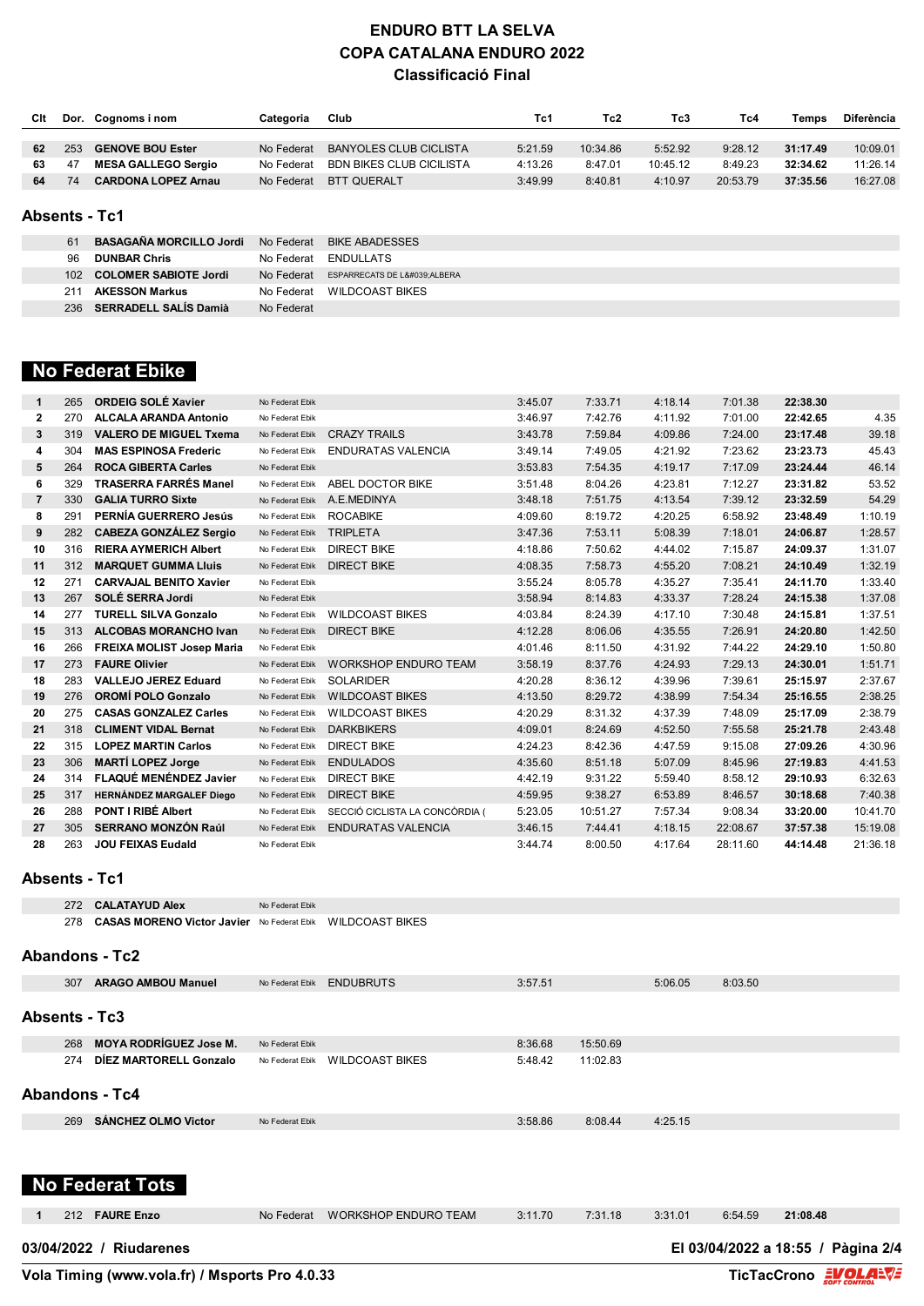| Cit | Dor. | Cognoms i nom              | Categoria  | Club                     | Tc1     | Tc2      | Tc3      | Tc4      | Temps    | <b>Diferència</b> |
|-----|------|----------------------------|------------|--------------------------|---------|----------|----------|----------|----------|-------------------|
|     |      |                            |            |                          |         |          |          |          |          |                   |
| 62  | 253  | <b>GENOVE BOU Ester</b>    | No Federat | BANYOLES CLUB CICLISTA   | 5:21.59 | 10:34.86 | 5:52.92  | 9:28.12  | 31:17.49 | 10:09.01          |
| 63  | 47   | <b>MESA GALLEGO Sergio</b> | No Federat | BDN BIKES CLUB CICILISTA | 4:13.26 | 8:47.01  | 10:45.12 | 8:49.23  | 32:34.62 | 11:26.14          |
|     | 74   | <b>CARDONA LOPEZ Arnau</b> | No Federat | BTT QUERALT              | 3:49.99 | 8:40.81  | 4:10.97  | 20:53.79 | 37:35.56 | 16:27.08          |

#### **Absents - Tc1**

| 61               | <b>BASAGAÑA MORCILLO Jordi</b> |            | No Federat BIKE ABADESSES          |
|------------------|--------------------------------|------------|------------------------------------|
| 96               | <b>DUNBAR Chris</b>            |            | No Federat ENDULLATS               |
| 102 <sub>1</sub> | <b>COLOMER SABIOTE Jordi</b>   |            | No Federat ESPARRECATS DE L'ALBERA |
| 211              | <b>AKESSON Markus</b>          |            | No Federat WILDCOAST BIKES         |
| 236              | SERRADELL SALÍS Damià          | No Federat |                                    |

### **No Federat Ebike**

| 1              | 265 | <b>ORDEIG SOLÉ Xavier</b>        | No Federat Ebik |                                | 3:45.07 | 7:33.71  | 4:18.14 | 7:01.38  | 22:38.30 |          |
|----------------|-----|----------------------------------|-----------------|--------------------------------|---------|----------|---------|----------|----------|----------|
| $\mathbf{2}$   | 270 | <b>ALCALA ARANDA Antonio</b>     | No Federat Ebik |                                | 3:46.97 | 7:42.76  | 4:11.92 | 7:01.00  | 22:42.65 | 4.35     |
| 3              | 319 | <b>VALERO DE MIGUEL Txema</b>    | No Federat Ebik | <b>CRAZY TRAILS</b>            | 3:43.78 | 7:59.84  | 4:09.86 | 7:24.00  | 23:17.48 | 39.18    |
| 4              | 304 | <b>MAS ESPINOSA Frederic</b>     | No Federat Ebik | <b>ENDURATAS VALENCIA</b>      | 3:49.14 | 7:49.05  | 4:21.92 | 7:23.62  | 23:23.73 | 45.43    |
| 5              | 264 | <b>ROCA GIBERTA Carles</b>       | No Federat Ebik |                                | 3:53.83 | 7:54.35  | 4:19.17 | 7:17.09  | 23:24.44 | 46.14    |
| 6              | 329 | <b>TRASERRA FARRÉS Manel</b>     | No Federat Ebik | ABEL DOCTOR BIKE               | 3:51.48 | 8:04.26  | 4:23.81 | 7:12.27  | 23:31.82 | 53.52    |
| $\overline{7}$ | 330 | <b>GALIA TURRO Sixte</b>         | No Federat Ebik | A.E.MEDINYA                    | 3:48.18 | 7:51.75  | 4:13.54 | 7:39.12  | 23:32.59 | 54.29    |
| 8              | 291 | PERNÍA GUERRERO Jesús            | No Federat Ebik | <b>ROCABIKE</b>                | 4:09.60 | 8:19.72  | 4:20.25 | 6:58.92  | 23:48.49 | 1:10.19  |
| 9              | 282 | <b>CABEZA GONZÁLEZ Sergio</b>    | No Federat Ebik | <b>TRIPLETA</b>                | 3:47.36 | 7:53.11  | 5:08.39 | 7:18.01  | 24:06.87 | 1:28.57  |
| 10             | 316 | <b>RIERA AYMERICH Albert</b>     | No Federat Ebik | <b>DIRECT BIKE</b>             | 4:18.86 | 7:50.62  | 4:44.02 | 7:15.87  | 24:09.37 | 1:31.07  |
| 11             | 312 | <b>MARQUET GUMMA Lluis</b>       | No Federat Ebik | <b>DIRECT BIKE</b>             | 4:08.35 | 7:58.73  | 4:55.20 | 7:08.21  | 24:10.49 | 1:32.19  |
| 12             | 271 | <b>CARVAJAL BENITO Xavier</b>    | No Federat Ebik |                                | 3:55.24 | 8:05.78  | 4:35.27 | 7:35.41  | 24:11.70 | 1:33.40  |
| 13             | 267 | SOLÉ SERRA Jordi                 | No Federat Ebik |                                | 3:58.94 | 8:14.83  | 4:33.37 | 7:28.24  | 24:15.38 | 1:37.08  |
| 14             | 277 | <b>TURELL SILVA Gonzalo</b>      | No Federat Ebik | <b>WILDCOAST BIKES</b>         | 4:03.84 | 8:24.39  | 4:17.10 | 7:30.48  | 24:15.81 | 1:37.51  |
| 15             | 313 | <b>ALCOBAS MORANCHO Ivan</b>     | No Federat Ebik | <b>DIRECT BIKE</b>             | 4:12.28 | 8:06.06  | 4:35.55 | 7:26.91  | 24:20.80 | 1:42.50  |
| 16             | 266 | <b>FREIXA MOLIST Josep Maria</b> | No Federat Ebik |                                | 4:01.46 | 8:11.50  | 4:31.92 | 7:44.22  | 24:29.10 | 1:50.80  |
| 17             | 273 | <b>FAURE Olivier</b>             | No Federat Ebik | <b>WORKSHOP ENDURO TEAM</b>    | 3:58.19 | 8:37.76  | 4:24.93 | 7:29.13  | 24:30.01 | 1:51.71  |
| 18             | 283 | <b>VALLEJO JEREZ Eduard</b>      | No Federat Ebik | <b>SOLARIDER</b>               | 4:20.28 | 8:36.12  | 4:39.96 | 7:39.61  | 25:15.97 | 2:37.67  |
| 19             | 276 | <b>OROMÍ POLO Gonzalo</b>        | No Federat Ebik | <b>WILDCOAST BIKES</b>         | 4:13.50 | 8:29.72  | 4:38.99 | 7:54.34  | 25:16.55 | 2:38.25  |
| 20             | 275 | <b>CASAS GONZALEZ Carles</b>     | No Federat Ebik | <b>WILDCOAST BIKES</b>         | 4:20.29 | 8:31.32  | 4:37.39 | 7:48.09  | 25:17.09 | 2:38.79  |
| 21             | 318 | <b>CLIMENT VIDAL Bernat</b>      | No Federat Ebik | <b>DARKBIKERS</b>              | 4:09.01 | 8:24.69  | 4:52.50 | 7:55.58  | 25:21.78 | 2:43.48  |
| 22             | 315 | <b>LOPEZ MARTIN Carlos</b>       | No Federat Ebik | <b>DIRECT BIKE</b>             | 4:24.23 | 8:42.36  | 4:47.59 | 9:15.08  | 27:09.26 | 4:30.96  |
| 23             | 306 | <b>MARTÍ LOPEZ Jorge</b>         | No Federat Ebik | <b>ENDULADOS</b>               | 4:35.60 | 8:51.18  | 5:07.09 | 8:45.96  | 27:19.83 | 4:41.53  |
| 24             | 314 | FLAQUÉ MENÉNDEZ Javier           | No Federat Ebik | <b>DIRECT BIKE</b>             | 4:42.19 | 9:31.22  | 5:59.40 | 8:58.12  | 29:10.93 | 6:32.63  |
| 25             | 317 | <b>HERNÁNDEZ MARGALEF Diego</b>  | No Federat Ebik | <b>DIRECT BIKE</b>             | 4:59.95 | 9:38.27  | 6:53.89 | 8:46.57  | 30:18.68 | 7:40.38  |
| 26             | 288 | <b>PONT I RIBÉ Albert</b>        | No Federat Ebik | SECCIÓ CICLISTA LA CONCÒRDIA ( | 5:23.05 | 10:51.27 | 7:57.34 | 9:08.34  | 33:20.00 | 10:41.70 |
| 27             | 305 | <b>SERRANO MONZÓN Raúl</b>       | No Federat Ebik | <b>ENDURATAS VALENCIA</b>      | 3:46.15 | 7:44.41  | 4:18.15 | 22:08.67 | 37:57.38 | 15:19.08 |
| 28             | 263 | <b>JOU FEIXAS Eudald</b>         | No Federat Ebik |                                | 3:44.74 | 8:00.50  | 4:17.64 | 28:11.60 | 44:14.48 | 21:36.18 |
|                |     |                                  |                 |                                |         |          |         |          |          |          |

### **Absents - Tc1**

**CALATAYUD Alex** No Federat Ebik **CASAS MORENO Victor Javier** No Federat Ebik WILDCOAST BIKES

#### **Abandons - Tc2**

|                | 307 | <b>ARAGO AMBOU Manuel</b>     | No Federat Ebik | <b>ENDUBRUTS</b> | 3:57.51 |          | 5:06.05 | 8:03.50 |  |
|----------------|-----|-------------------------------|-----------------|------------------|---------|----------|---------|---------|--|
| Absents - Tc3  |     |                               |                 |                  |         |          |         |         |  |
|                | 268 | <b>MOYA RODRÍGUEZ Jose M.</b> | No Federat Ebik |                  | 8:36.68 | 15:50.69 |         |         |  |
|                | 274 | DÍEZ MARTORELL Gonzalo        | No Federat Ebik | WILDCOAST BIKES  | 5:48.42 | 11:02.83 |         |         |  |
| Abandons - Tc4 |     |                               |                 |                  |         |          |         |         |  |
|                | 269 | <b>SÁNCHEZ OLMO Victor</b>    | No Federat Ebik |                  | 3:58.86 | 8:08.44  | 4:25.15 |         |  |
|                |     |                               |                 |                  |         |          |         |         |  |

# **No Federat Tots**

| 1 | 212 FAURE Enzo |
|---|----------------|

212 **FAURE Enzo** No Federat WORKSHOP ENDURO TEAM 3:11.70 7:31.18 3:31.01 6:54.59 **21:08.48**

**03/04/2022 / Riudarenes El 03/04/2022 a 18:55 / Pàgina 2/4**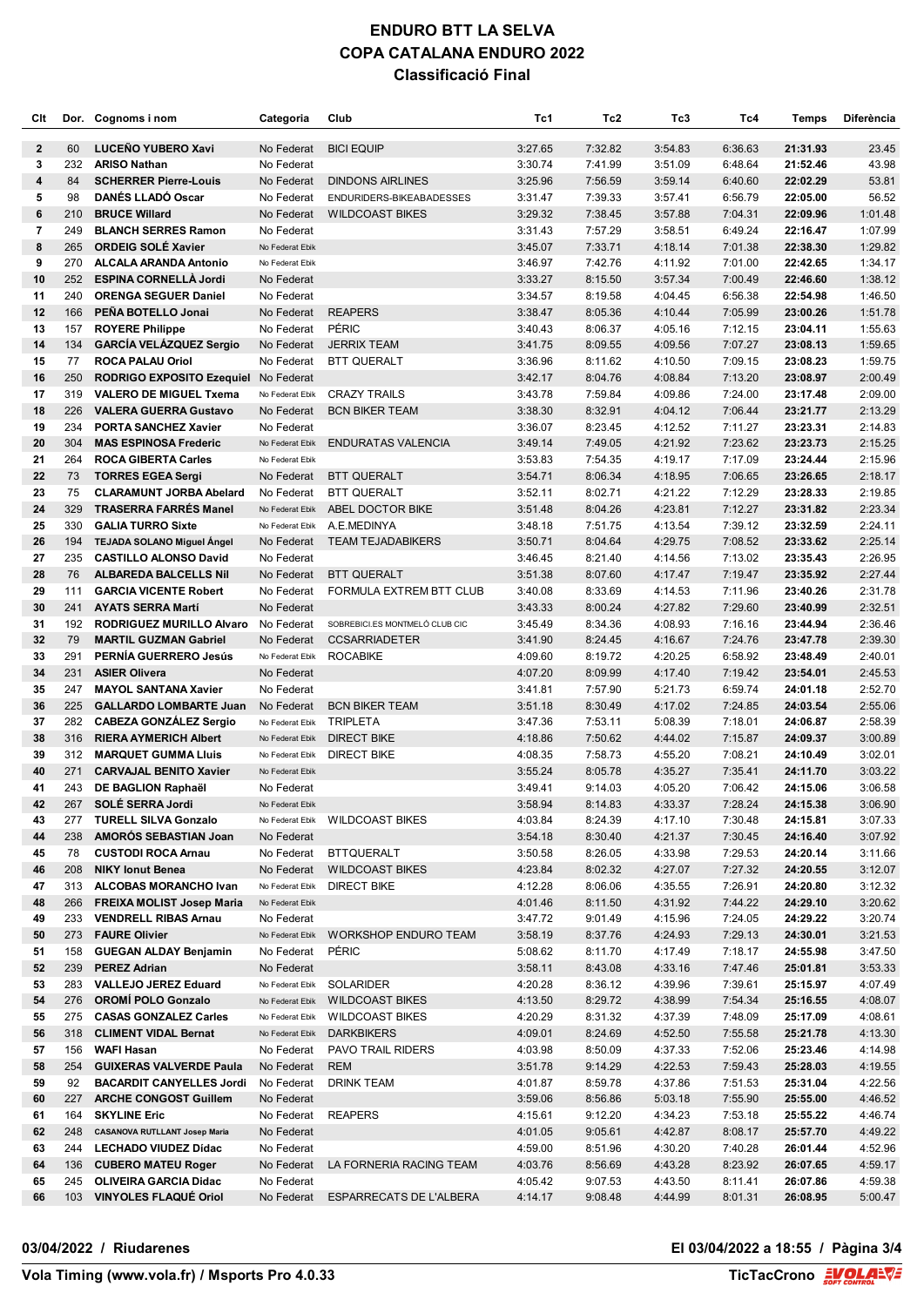| Clt          |            | Dor. Cognoms i nom                                           | Categoria                | Club                                          | Tc1                | Tc2                | Tc3                | Tc4                | Temps                | Diferència         |
|--------------|------------|--------------------------------------------------------------|--------------------------|-----------------------------------------------|--------------------|--------------------|--------------------|--------------------|----------------------|--------------------|
| $\mathbf{2}$ | 60         | LUCEÑO YUBERO Xavi                                           | No Federat               | <b>BICI EQUIP</b>                             | 3:27.65            | 7:32.82            | 3:54.83            | 6:36.63            | 21:31.93             | 23.45              |
| 3            | 232        | <b>ARISO Nathan</b>                                          | No Federat               |                                               | 3:30.74            | 7:41.99            | 3:51.09            | 6:48.64            | 21:52.46             | 43.98              |
| 4            | 84         | <b>SCHERRER Pierre-Louis</b>                                 | No Federat               | <b>DINDONS AIRLINES</b>                       | 3:25.96            | 7:56.59            | 3:59.14            | 6:40.60            | 22:02.29             | 53.81              |
| 5            | 98         | <b>DANÉS LLADÓ Oscar</b>                                     | No Federat               | ENDURIDERS-BIKEABADESSES                      | 3:31.47            | 7:39.33            | 3:57.41            | 6:56.79            | 22:05.00             | 56.52              |
| 6            | 210        | <b>BRUCE Willard</b>                                         | No Federat               | <b>WILDCOAST BIKES</b>                        | 3:29.32            | 7:38.45            | 3:57.88            | 7:04.31            | 22:09.96             | 1:01.48            |
| 7            | 249        | <b>BLANCH SERRES Ramon</b>                                   | No Federat               |                                               | 3:31.43            | 7:57.29            | 3:58.51            | 6:49.24            | 22:16.47             | 1:07.99            |
| 8            | 265        | <b>ORDEIG SOLE Xavier</b>                                    | No Federat Ebik          |                                               | 3:45.07            | 7:33.71            | 4:18.14            | 7:01.38            | 22:38.30             | 1:29.82            |
| 9            | 270        | <b>ALCALA ARANDA Antonio</b>                                 | No Federat Ebik          |                                               | 3:46.97            | 7:42.76            | 4:11.92            | 7:01.00            | 22:42.65             | 1:34.17            |
| 10<br>11     | 252<br>240 | <b>ESPINA CORNELLÀ Jordi</b>                                 | No Federat               |                                               | 3:33.27            | 8:15.50<br>8:19.58 | 3:57.34<br>4:04.45 | 7:00.49<br>6:56.38 | 22:46.60<br>22:54.98 | 1:38.12<br>1:46.50 |
| 12           | 166        | <b>ORENGA SEGUER Daniel</b><br>PEÑA BOTELLO Jonai            | No Federat<br>No Federat | <b>REAPERS</b>                                | 3:34.57<br>3:38.47 | 8:05.36            | 4:10.44            | 7:05.99            | 23:00.26             | 1:51.78            |
| 13           | 157        | <b>ROYERE Philippe</b>                                       | No Federat               | PÉRIC                                         | 3:40.43            | 8:06.37            | 4:05.16            | 7:12.15            | 23:04.11             | 1:55.63            |
| 14           | 134        | <b>GARCÍA VELÁZQUEZ Sergio</b>                               | No Federat               | <b>JERRIX TEAM</b>                            | 3:41.75            | 8:09.55            | 4:09.56            | 7:07.27            | 23:08.13             | 1:59.65            |
| 15           | 77         | <b>ROCA PALAU Oriol</b>                                      | No Federat               | <b>BTT QUERALT</b>                            | 3:36.96            | 8:11.62            | 4:10.50            | 7:09.15            | 23:08.23             | 1:59.75            |
| 16           | 250        | RODRIGO EXPOSITO Ezequiel No Federat                         |                          |                                               | 3:42.17            | 8:04.76            | 4:08.84            | 7:13.20            | 23:08.97             | 2:00.49            |
| 17           | 319        | <b>VALERO DE MIGUEL Txema</b>                                | No Federat Ebik          | <b>CRAZY TRAILS</b>                           | 3:43.78            | 7:59.84            | 4:09.86            | 7:24.00            | 23:17.48             | 2:09.00            |
| 18           | 226        | <b>VALERA GUERRA Gustavo</b>                                 | No Federat               | <b>BCN BIKER TEAM</b>                         | 3:38.30            | 8:32.91            | 4:04.12            | 7:06.44            | 23:21.77             | 2:13.29            |
| 19           | 234        | <b>PORTA SANCHEZ Xavier</b>                                  | No Federat               |                                               | 3:36.07            | 8:23.45            | 4:12.52            | 7:11.27            | 23:23.31             | 2:14.83            |
| 20           | 304        | <b>MAS ESPINOSA Frederic</b>                                 | No Federat Ebik          | <b>ENDURATAS VALENCIA</b>                     | 3:49.14            | 7:49.05            | 4:21.92            | 7:23.62            | 23:23.73             | 2:15.25            |
| 21           | 264        | <b>ROCA GIBERTA Carles</b>                                   | No Federat Ebik          |                                               | 3:53.83            | 7:54.35            | 4:19.17            | 7:17.09            | 23:24.44             | 2:15.96            |
| 22           | 73         | <b>TORRES EGEA Sergi</b>                                     | No Federat               | <b>BTT QUERALT</b>                            | 3:54.71            | 8:06.34            | 4:18.95            | 7:06.65            | 23:26.65             | 2:18.17            |
| 23           | 75         | <b>CLARAMUNT JORBA Abelard</b>                               | No Federat               | <b>BTT QUERALT</b>                            | 3:52.11            | 8:02.71            | 4:21.22            | 7:12.29            | 23:28.33             | 2:19.85            |
| 24           | 329        | <b>TRASERRA FARRÉS Manel</b>                                 | No Federat Ebik          | ABEL DOCTOR BIKE                              | 3:51.48            | 8:04.26            | 4:23.81            | 7:12.27            | 23:31.82             | 2:23.34            |
| 25           | 330        | <b>GALIA TURRO Sixte</b>                                     | No Federat Ebik          | A.E.MEDINYA                                   | 3:48.18            | 7:51.75            | 4:13.54            | 7:39.12            | 23:32.59             | 2:24.11            |
| 26           | 194        | <b>TEJADA SOLANO Miguel Angel</b>                            | No Federat               | <b>TEAM TEJADABIKERS</b>                      | 3:50.71            | 8:04.64            | 4:29.75            | 7:08.52            | 23:33.62             | 2:25.14            |
| 27           | 235        | <b>CASTILLO ALONSO David</b>                                 | No Federat               |                                               | 3:46.45            | 8:21.40            | 4:14.56            | 7:13.02            | 23:35.43             | 2:26.95<br>2:27.44 |
| 28<br>29     | 76<br>111  | <b>ALBAREDA BALCELLS Nil</b><br><b>GARCIA VICENTE Robert</b> | No Federat<br>No Federat | <b>BTT QUERALT</b><br>FORMULA EXTREM BTT CLUB | 3:51.38<br>3:40.08 | 8:07.60<br>8:33.69 | 4:17.47<br>4:14.53 | 7:19.47<br>7:11.96 | 23:35.92<br>23:40.26 | 2:31.78            |
| 30           | 241        | <b>AYATS SERRA Martí</b>                                     | No Federat               |                                               | 3:43.33            | 8:00.24            | 4:27.82            | 7:29.60            | 23:40.99             | 2:32.51            |
| 31           | 192        | <b>RODRIGUEZ MURILLO Alvaro</b>                              | No Federat               | SOBREBICI.ES MONTMELÓ CLUB CIC                | 3:45.49            | 8:34.36            | 4:08.93            | 7:16.16            | 23:44.94             | 2:36.46            |
| 32           | 79         | <b>MARTIL GUZMAN Gabriel</b>                                 | No Federat               | <b>CCSARRIADETER</b>                          | 3:41.90            | 8:24.45            | 4:16.67            | 7:24.76            | 23:47.78             | 2:39.30            |
| 33           | 291        | PERNÍA GUERRERO Jesús                                        | No Federat Ebik          | <b>ROCABIKE</b>                               | 4:09.60            | 8:19.72            | 4:20.25            | 6:58.92            | 23:48.49             | 2:40.01            |
| 34           | 231        | <b>ASIER Olivera</b>                                         | No Federat               |                                               | 4:07.20            | 8:09.99            | 4:17.40            | 7:19.42            | 23:54.01             | 2:45.53            |
| 35           | 247        | <b>MAYOL SANTANA Xavier</b>                                  | No Federat               |                                               | 3:41.81            | 7:57.90            | 5:21.73            | 6:59.74            | 24:01.18             | 2:52.70            |
| 36           | 225        | <b>GALLARDO LOMBARTE Juan</b>                                | No Federat               | <b>BCN BIKER TEAM</b>                         | 3:51.18            | 8:30.49            | 4:17.02            | 7:24.85            | 24:03.54             | 2:55.06            |
| 37           | 282        | <b>CABEZA GONZÁLEZ Sergio</b>                                | No Federat Ebik          | <b>TRIPLETA</b>                               | 3:47.36            | 7:53.11            | 5:08.39            | 7:18.01            | 24:06.87             | 2:58.39            |
| 38           | 316        | <b>RIERA AYMERICH Albert</b>                                 | No Federat Ebik          | <b>DIRECT BIKE</b>                            | 4:18.86            | 7:50.62            | 4:44.02            | 7:15.87            | 24:09.37             | 3:00.89            |
| 39           | 312        | <b>MARQUET GUMMA LIuis</b>                                   | No Federat Ebik          | <b>DIRECT BIKE</b>                            | 4:08.35            | 7:58.73            | 4:55.20            | 7:08.21            | 24:10.49             | 3:02.01            |
| 40           | 271        | <b>CARVAJAL BENITO Xavier</b>                                | No Federat Ebik          |                                               | 3:55.24            | 8:05.78            | 4:35.27            | 7:35.41            | 24:11.70             | 3:03.22            |
| 41           | 243        | DE BAGLION Raphaël                                           | No Federat               |                                               | 3:49.41            | 9:14.03            | 4:05.20            | 7:06.42            | 24:15.06             | 3:06.58            |
| 42           | 267        | <b>SOLE SERRA Jordi</b>                                      | No Federat Ebik          |                                               | 3:58.94            | 8:14.83            | 4:33.37            | 7:28.24            | 24:15.38             | 3:06.90            |
| 43           | 277<br>238 | <b>TURELL SILVA Gonzalo</b>                                  | No Federat Ebik          | WILDCOAST BIKES                               | 4:03.84            | 8:24.39            | 4:17.10            | 7:30.48            | 24:15.81             | 3:07.33            |
| 44<br>45     | 78         | <b>AMOROS SEBASTIAN Joan</b><br><b>CUSTODI ROCA Arnau</b>    | No Federat               | No Federat BTTQUERALT                         | 3:54.18<br>3:50.58 | 8:30.40<br>8:26.05 | 4:21.37<br>4:33.98 | 7:30.45<br>7:29.53 | 24:16.40<br>24:20.14 | 3:07.92<br>3:11.66 |
| 46           | 208        | <b>NIKY lonut Benea</b>                                      | No Federat               | <b>WILDCOAST BIKES</b>                        | 4:23.84            | 8:02.32            | 4:27.07            | 7:27.32            | 24:20.55             | 3:12.07            |
| 47           | 313        | <b>ALCOBAS MORANCHO Ivan</b>                                 | No Federat Ebik          | <b>DIRECT BIKE</b>                            | 4:12.28            | 8:06.06            | 4:35.55            | 7:26.91            | 24:20.80             | 3:12.32            |
| 48           | 266        | <b>FREIXA MOLIST Josep Maria</b>                             | No Federat Ebik          |                                               | 4:01.46            | 8:11.50            | 4:31.92            | 7:44.22            | 24:29.10             | 3:20.62            |
| 49           | 233        | <b>VENDRELL RIBAS Arnau</b>                                  | No Federat               |                                               | 3:47.72            | 9:01.49            | 4:15.96            | 7:24.05            | 24:29.22             | 3:20.74            |
| 50           | 273        | <b>FAURE Olivier</b>                                         | No Federat Ebik          | <b>WORKSHOP ENDURO TEAM</b>                   | 3:58.19            | 8:37.76            | 4:24.93            | 7:29.13            | 24:30.01             | 3:21.53            |
| 51           | 158        | <b>GUEGAN ALDAY Benjamin</b>                                 | No Federat               | PÉRIC                                         | 5:08.62            | 8:11.70            | 4:17.49            | 7:18.17            | 24:55.98             | 3:47.50            |
| 52           | 239        | <b>PEREZ Adrian</b>                                          | No Federat               |                                               | 3:58.11            | 8:43.08            | 4:33.16            | 7:47.46            | 25:01.81             | 3:53.33            |
| 53           | 283        | <b>VALLEJO JEREZ Eduard</b>                                  | No Federat Ebik          | SOLARIDER                                     | 4:20.28            | 8:36.12            | 4:39.96            | 7:39.61            | 25:15.97             | 4:07.49            |
| 54           | 276        | <b>OROMI POLO Gonzalo</b>                                    | No Federat Ebik          | <b>WILDCOAST BIKES</b>                        | 4:13.50            | 8:29.72            | 4:38.99            | 7:54.34            | 25:16.55             | 4:08.07            |
| 55           | 275        | <b>CASAS GONZALEZ Carles</b>                                 | No Federat Ebik          | <b>WILDCOAST BIKES</b>                        | 4:20.29            | 8:31.32            | 4:37.39            | 7:48.09            | 25:17.09             | 4:08.61            |
| 56           | 318        | <b>CLIMENT VIDAL Bernat</b>                                  | No Federat Ebik          | <b>DARKBIKERS</b>                             | 4:09.01            | 8:24.69            | 4:52.50            | 7:55.58            | 25:21.78             | 4:13.30            |
| 57           | 156        | <b>WAFI Hasan</b>                                            | No Federat               | PAVO TRAIL RIDERS                             | 4:03.98            | 8:50.09            | 4:37.33            | 7:52.06            | 25:23.46             | 4:14.98            |
| 58           | 254        | <b>GUIXERAS VALVERDE Paula</b>                               | No Federat               | <b>REM</b>                                    | 3:51.78            | 9:14.29            | 4:22.53            | 7:59.43            | 25:28.03             | 4:19.55            |
| 59           | 92         | <b>BACARDIT CANYELLES Jordi</b>                              | No Federat               | <b>DRINK TEAM</b>                             | 4:01.87            | 8:59.78            | 4:37.86            | 7:51.53            | 25:31.04             | 4:22.56            |
| 60           | 227        | <b>ARCHE CONGOST Guillem</b><br><b>SKYLINE Eric</b>          | No Federat               | <b>REAPERS</b>                                | 3:59.06<br>4:15.61 | 8:56.86<br>9:12.20 | 5:03.18<br>4:34.23 | 7:55.90<br>7:53.18 | 25:55.00<br>25:55.22 | 4:46.52<br>4:46.74 |
| 61<br>62     | 164<br>248 | <b>CASANOVA RUTLLANT Josep Maria</b>                         | No Federat<br>No Federat |                                               | 4:01.05            | 9:05.61            | 4:42.87            | 8:08.17            | 25:57.70             | 4:49.22            |
| 63           | 244        | <b>LECHADO VIUDEZ Dídac</b>                                  | No Federat               |                                               | 4:59.00            | 8:51.96            | 4:30.20            | 7:40.28            | 26:01.44             | 4:52.96            |
| 64           | 136        | <b>CUBERO MATEU Roger</b>                                    |                          | No Federat LA FORNERIA RACING TEAM            | 4:03.76            | 8:56.69            | 4:43.28            | 8:23.92            | 26:07.65             | 4:59.17            |
| 65           | 245        | <b>OLIVEIRA GARCIA Didac</b>                                 | No Federat               |                                               | 4:05.42            | 9:07.53            | 4:43.50            | 8:11.41            | 26:07.86             | 4:59.38            |
| 66           | 103        | <b>VINYOLES FLAQUE Oriol</b>                                 | No Federat               | ESPARRECATS DE L'ALBERA                       | 4:14.17            | 9:08.48            | 4:44.99            | 8:01.31            | 26:08.95             | 5:00.47            |
|              |            |                                                              |                          |                                               |                    |                    |                    |                    |                      |                    |

### **03/04/2022 / Riudarenes El 03/04/2022 a 18:55 / Pàgina 3/4**